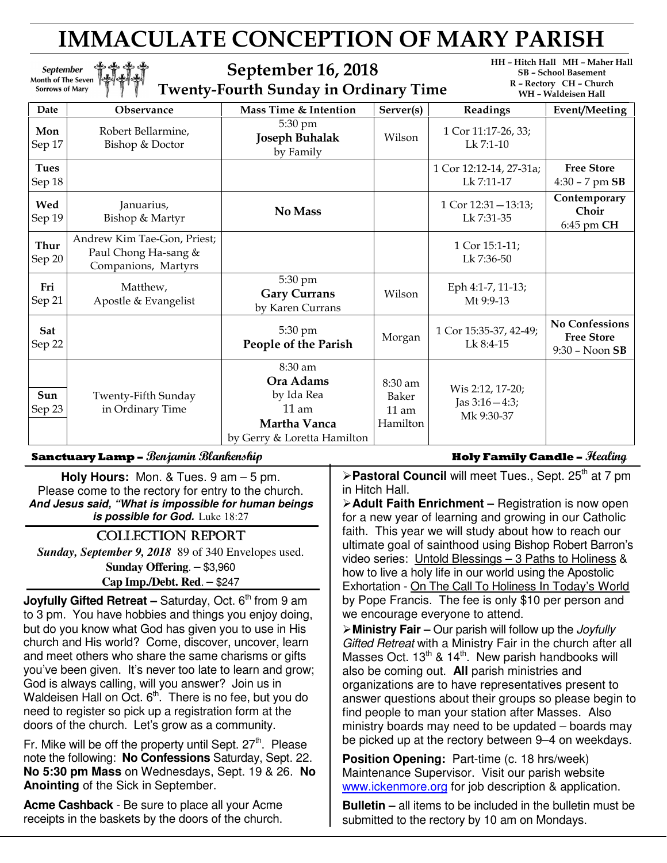# IMMACULATE CONCEPTION OF MARY PARISH

September 16, 2018 Twenty-Fourth Sunday in Ordinary Time HH – Hitch Hall MH – Maher Hall SB – School Basement R – Rectory CH – Church

| I WEIRY-FOULDED SUIKERY IN ORTHUM Y THING |                                                                            |                                                                                                      |                                         |                                                   | WH – Waldeisen Hall                                             |
|-------------------------------------------|----------------------------------------------------------------------------|------------------------------------------------------------------------------------------------------|-----------------------------------------|---------------------------------------------------|-----------------------------------------------------------------|
| Date                                      | <b>Observance</b>                                                          | Mass Time & Intention                                                                                | Server(s)                               | Readings                                          | Event/Meeting                                                   |
| Mon<br>Sep 17                             | Robert Bellarmine,<br>Bishop & Doctor                                      | 5:30 pm<br><b>Joseph Buhalak</b><br>by Family                                                        | Wilson                                  | 1 Cor 11:17-26, 33;<br>$Lk$ 7:1-10                |                                                                 |
| <b>Tues</b><br>Sep 18                     |                                                                            |                                                                                                      |                                         | 1 Cor 12:12-14, 27-31a;<br>Lk 7:11-17             | <b>Free Store</b><br>$4:30 - 7$ pm $SB$                         |
| Wed<br>Sep 19                             | Januarius,<br>Bishop & Martyr                                              | No Mass                                                                                              |                                         | $1$ Cor $12:31 - 13:13$ ;<br>Lk 7:31-35           | Contemporary<br>Choir<br>6:45 pm CH                             |
| <b>Thur</b><br>Sep 20                     | Andrew Kim Tae-Gon, Priest;<br>Paul Chong Ha-sang &<br>Companions, Martyrs |                                                                                                      |                                         | 1 Cor 15:1-11;<br>Lk 7:36-50                      |                                                                 |
| Fri<br>Sep 21                             | Matthew,<br>Apostle & Evangelist                                           | 5:30 pm<br><b>Gary Currans</b><br>by Karen Currans                                                   | Wilson                                  | Eph 4:1-7, 11-13;<br>Mt 9:9-13                    |                                                                 |
| Sat<br>Sep 22                             |                                                                            | 5:30 pm<br>People of the Parish                                                                      | Morgan                                  | 1 Cor 15:35-37, 42-49;<br>Lk 8:4-15               | <b>No Confessions</b><br><b>Free Store</b><br>$9:30 - N$ oon SB |
| Sun<br>Sep 23                             | Twenty-Fifth Sunday<br>in Ordinary Time                                    | 8:30 am<br>Ora Adams<br>by Ida Rea<br>$11 \text{ am}$<br>Martha Vanca<br>by Gerry & Loretta Hamilton | 8:30 am<br>Baker<br>$11$ am<br>Hamilton | Wis 2:12, 17-20;<br>Jas $3:16-4:3;$<br>Mk 9:30-37 |                                                                 |

#### Sanctuary Lamp – *Benjamin Blankenship* Holy Family Candle – *Healing*

Month of The Seven<br>Sorrows of Mary

September

**Holy Hours:** Mon. & Tues. 9 am – 5 pm. Please come to the rectory for entry to the church. **And Jesus said, "What is impossible for human beings is possible for God.** Luke 18:27

#### COLLECTION REPORT

*Sunday, September 9, 2018* 89 of 340 Envelopes used. **Sunday Offering**. – \$3,960

**Cap Imp./Debt. Red**. – \$247

**Joyfully Gifted Retreat – Saturday, Oct. 6<sup>th</sup> from 9 am** to 3 pm. You have hobbies and things you enjoy doing, but do you know what God has given you to use in His church and His world? Come, discover, uncover, learn and meet others who share the same charisms or gifts you've been given. It's never too late to learn and grow; God is always calling, will you answer? Join us in Waldeisen Hall on Oct.  $6<sup>th</sup>$ . There is no fee, but you do need to register so pick up a registration form at the doors of the church. Let's grow as a community.

Fr. Mike will be off the property until Sept.  $27<sup>th</sup>$ . Please note the following: **No Confessions** Saturday, Sept. 22. **No 5:30 pm Mass** on Wednesdays, Sept. 19 & 26. **No Anointing** of the Sick in September.

**Acme Cashback** - Be sure to place all your Acme receipts in the baskets by the doors of the church.

**Pastoral Council** will meet Tues., Sept. 25<sup>th</sup> at 7 pm in Hitch Hall.

**Adult Faith Enrichment –** Registration is now open for a new year of learning and growing in our Catholic faith. This year we will study about how to reach our ultimate goal of sainthood using Bishop Robert Barron's video series: Untold Blessings – 3 Paths to Holiness & how to live a holy life in our world using the Apostolic Exhortation - On The Call To Holiness In Today's World by Pope Francis. The fee is only \$10 per person and we encourage everyone to attend.

**Ministry Fair –** Our parish will follow up the Joyfully Gifted Retreat with a Ministry Fair in the church after all Masses Oct.  $13^{th}$  &  $14^{th}$ . New parish handbooks will also be coming out. **All** parish ministries and organizations are to have representatives present to answer questions about their groups so please begin to find people to man your station after Masses. Also ministry boards may need to be updated – boards may be picked up at the rectory between 9–4 on weekdays.

**Position Opening: Part-time (c. 18 hrs/week)** Maintenance Supervisor. Visit our parish website www.ickenmore.org for job description & application.

**Bulletin –** all items to be included in the bulletin must be submitted to the rectory by 10 am on Mondays.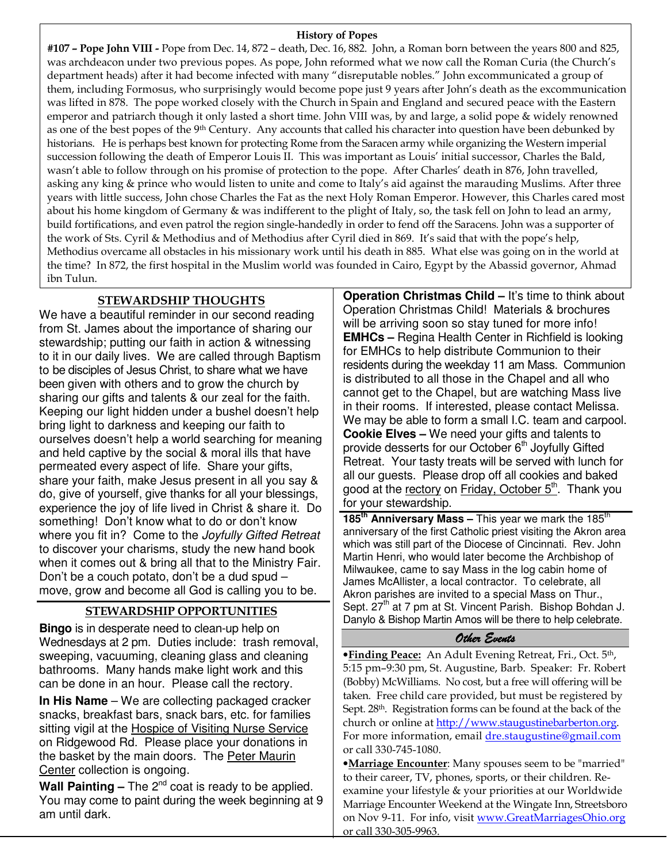#### History of Popes

#107 – Pope John VIII - Pope from Dec. 14, 872 – death, Dec. 16, 882. John, a Roman born between the years 800 and 825, was archdeacon under two previous popes. As pope, John reformed what we now call the Roman Curia (the Church's department heads) after it had become infected with many "disreputable nobles." John excommunicated a group of them, including Formosus, who surprisingly would become pope just 9 years after John's death as the excommunication was lifted in 878. The pope worked closely with the Church in Spain and England and secured peace with the Eastern emperor and patriarch though it only lasted a short time. John VIII was, by and large, a solid pope & widely renowned as one of the best popes of the 9<sup>th</sup> Century. Any accounts that called his character into question have been debunked by historians. He is perhaps best known for protecting Rome from the Saracen army while organizing the Western imperial succession following the death of Emperor Louis II. This was important as Louis' initial successor, Charles the Bald, wasn't able to follow through on his promise of protection to the pope. After Charles' death in 876, John travelled, asking any king & prince who would listen to unite and come to Italy's aid against the marauding Muslims. After three years with little success, John chose Charles the Fat as the next Holy Roman Emperor. However, this Charles cared most about his home kingdom of Germany & was indifferent to the plight of Italy, so, the task fell on John to lead an army, build fortifications, and even patrol the region single-handedly in order to fend off the Saracens. John was a supporter of the work of Sts. Cyril & Methodius and of Methodius after Cyril died in 869. It's said that with the pope's help, Methodius overcame all obstacles in his missionary work until his death in 885. What else was going on in the world at the time? In 872, the first hospital in the Muslim world was founded in Cairo, Egypt by the Abassid governor, Ahmad ibn Tulun.

#### STEWARDSHIP THOUGHTS

We have a beautiful reminder in our second reading from St. James about the importance of sharing our stewardship; putting our faith in action & witnessing to it in our daily lives. We are called through Baptism to be disciples of Jesus Christ, to share what we have been given with others and to grow the church by sharing our gifts and talents & our zeal for the faith. Keeping our light hidden under a bushel doesn't help bring light to darkness and keeping our faith to ourselves doesn't help a world searching for meaning and held captive by the social & moral ills that have permeated every aspect of life. Share your gifts, share your faith, make Jesus present in all you say & do, give of yourself, give thanks for all your blessings, experience the joy of life lived in Christ & share it. Do something! Don't know what to do or don't know where you fit in? Come to the Joyfully Gifted Retreat to discover your charisms, study the new hand book when it comes out & bring all that to the Ministry Fair. Don't be a couch potato, don't be a dud spud – move, grow and become all God is calling you to be.

#### STEWARDSHIP OPPORTUNITIES

**Bingo** is in desperate need to clean-up help on Wednesdays at 2 pm. Duties include: trash removal, sweeping, vacuuming, cleaning glass and cleaning bathrooms. Many hands make light work and this can be done in an hour. Please call the rectory.

**In His Name** – We are collecting packaged cracker snacks, breakfast bars, snack bars, etc. for families sitting vigil at the **Hospice of Visiting Nurse Service** on Ridgewood Rd. Please place your donations in the basket by the main doors. The Peter Maurin Center collection is ongoing.

Wall Painting – The 2<sup>nd</sup> coat is ready to be applied. You may come to paint during the week beginning at 9 am until dark.

**Operation Christmas Child – It's time to think about** Operation Christmas Child! Materials & brochures will be arriving soon so stay tuned for more info! **EMHCs –** Regina Health Center in Richfield is looking for EMHCs to help distribute Communion to their residents during the weekday 11 am Mass. Communion is distributed to all those in the Chapel and all who cannot get to the Chapel, but are watching Mass live in their rooms. If interested, please contact Melissa. We may be able to form a small I.C. team and carpool. **Cookie Elves –** We need your gifts and talents to provide desserts for our October  $6<sup>th</sup>$  Joyfully Gifted Retreat. Your tasty treats will be served with lunch for all our guests. Please drop off all cookies and baked good at the rectory on Friday, October  $5<sup>th</sup>$ . Thank you for your stewardship.

185<sup>th</sup> Anniversary Mass – This year we mark the 185<sup>th</sup> anniversary of the first Catholic priest visiting the Akron area which was still part of the Diocese of Cincinnati. Rev. John Martin Henri, who would later become the Archbishop of Milwaukee, came to say Mass in the log cabin home of James McAllister, a local contractor. To celebrate, all Akron parishes are invited to a special Mass on Thur., Sept. 27<sup>th</sup> at 7 pm at St. Vincent Parish. Bishop Bohdan J. Danylo & Bishop Martin Amos will be there to help celebrate.

#### Other Events

•Finding Peace: An Adult Evening Retreat, Fri., Oct. 5th, 5:15 pm–9:30 pm, St. Augustine, Barb. Speaker: Fr. Robert (Bobby) McWilliams. No cost, but a free will offering will be taken. Free child care provided, but must be registered by Sept. 28<sup>th</sup>. Registration forms can be found at the back of the church or online at http://www.staugustinebarberton.org. For more information, email dre.staugustine@gmail.com or call 330-745-1080.

•Marriage Encounter: Many spouses seem to be "married" to their career, TV, phones, sports, or their children. Reexamine your lifestyle & your priorities at our Worldwide Marriage Encounter Weekend at the Wingate Inn, Streetsboro on Nov 9-11. For info, visit www.GreatMarriagesOhio.org or call 330-305-9963.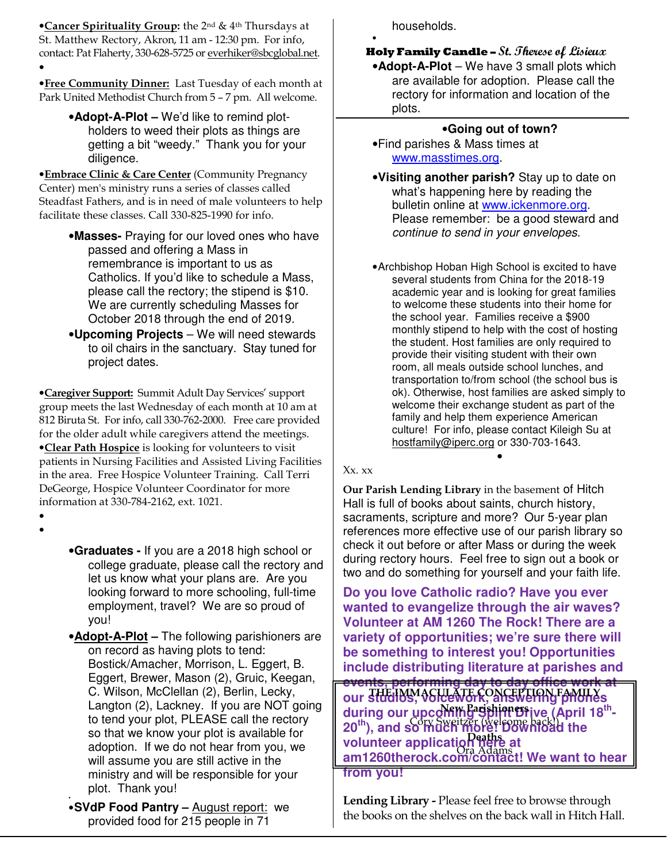**•Cancer Spirituality Group:** the 2<sup>nd</sup> & 4<sup>th</sup> Thursdays at St. Matthew Rectory, Akron, 11 am - 12:30 pm. For info, contact: Pat Flaherty, 330-628-5725 or everhiker@sbcglobal.net. •

**• Free Community Dinner:** Last Tuesday of each month at Park United Methodist Church from 5 – 7 pm. All welcome.

> •**Adopt-A-Plot –** We'd like to remind plotholders to weed their plots as things are getting a bit "weedy." Thank you for your diligence.

**• Embrace Clinic & Care Center (Community Pregnancy** Center) men's ministry runs a series of classes called Steadfast Fathers, and is in need of male volunteers to help facilitate these classes. Call 330-825-1990 for info.

- •**Masses-** Praying for our loved ones who have passed and offering a Mass in remembrance is important to us as Catholics. If you'd like to schedule a Mass, please call the rectory; the stipend is \$10. We are currently scheduling Masses for October 2018 through the end of 2019.
- •**Upcoming Projects**  We will need stewards to oil chairs in the sanctuary. Stay tuned for project dates.

•Caregiver Support: Summit Adult Day Services' support group meets the last Wednesday of each month at 10 am at 812 Biruta St. For info, call 330-762-2000. Free care provided for the older adult while caregivers attend the meetings. •Clear Path Hospice is looking for volunteers to visit patients in Nursing Facilities and Assisted Living Facilities in the area. Free Hospice Volunteer Training. Call Terri DeGeorge, Hospice Volunteer Coordinator for more information at 330-784-2162, ext. 1021.

• •

> •**Graduates -** If you are a 2018 high school or college graduate, please call the rectory and let us know what your plans are. Are you looking forward to more schooling, full-time employment, travel? We are so proud of you!

> •**Adopt-A-Plot –** The following parishioners are on record as having plots to tend: Bostick/Amacher, Morrison, L. Eggert, B. Eggert, Brewer, Mason (2), Gruic, Keegan, C. Wilson, McClellan (2), Berlin, Lecky, Langton (2), Lackney. If you are NOT going to tend your plot, PLEASE call the rectory so that we know your plot is available for adoption. If we do not hear from you, we will assume you are still active in the ministry and will be responsible for your plot. Thank you!

• •**SVdP Food Pantry –** August report: we provided food for 215 people in 71

households.

•

**Holy Family Candle - St. Therese of Lisieux** •**Adopt-A-Plot** – We have 3 small plots which are available for adoption. Please call the rectory for information and location of the plots.

## •**Going out of town?**

• Find parishes & Mass times at www.masstimes.org.

- •**Visiting another parish?** Stay up to date on what's happening here by reading the bulletin online at www.ickenmore.org. Please remember: be a good steward and continue to send in your envelopes.
- Archbishop Hoban High School is excited to have several students from China for the 2018-19 academic year and is looking for great families to welcome these students into their home for the school year. Families receive a \$900 monthly stipend to help with the cost of hosting the student. Host families are only required to provide their visiting student with their own room, all meals outside school lunches, and transportation to/from school (the school bus is ok). Otherwise, host families are asked simply to welcome their exchange student as part of the family and help them experience American culture! For info, please contact Kileigh Su at hostfamily@iperc.org or 330-703-1643. •

Xx. xx

Our Parish Lending Library in the basement of Hitch Hall is full of books about saints, church history, sacraments, scripture and more? Our 5-year plan references more effective use of our parish library so check it out before or after Mass or during the week during rectory hours. Feel free to sign out a book or two and do something for yourself and your faith life.

**Do you love Catholic radio? Have you ever wanted to evangelize through the air waves? Volunteer at AM 1260 The Rock! There are a variety of opportunities; we're sure there will be something to interest you! Opportunities include distributing literature at parishes and** 

**events, performing day to day office work at our studios, voicework, answering phones**  THE IMMACULATE CONCEPTION FAMILY during our upcoming Spirit Brive (April 18<sup>th</sup>-**20th), and so much more! Download the volunteer application here at**  Deaths **am1260therock.com/contact! We want to hear from you!**  New Parishioners Cory Sweitzer (welcome back!)

Lending Library - Please feel free to browse through the books on the shelves on the back wall in Hitch Hall.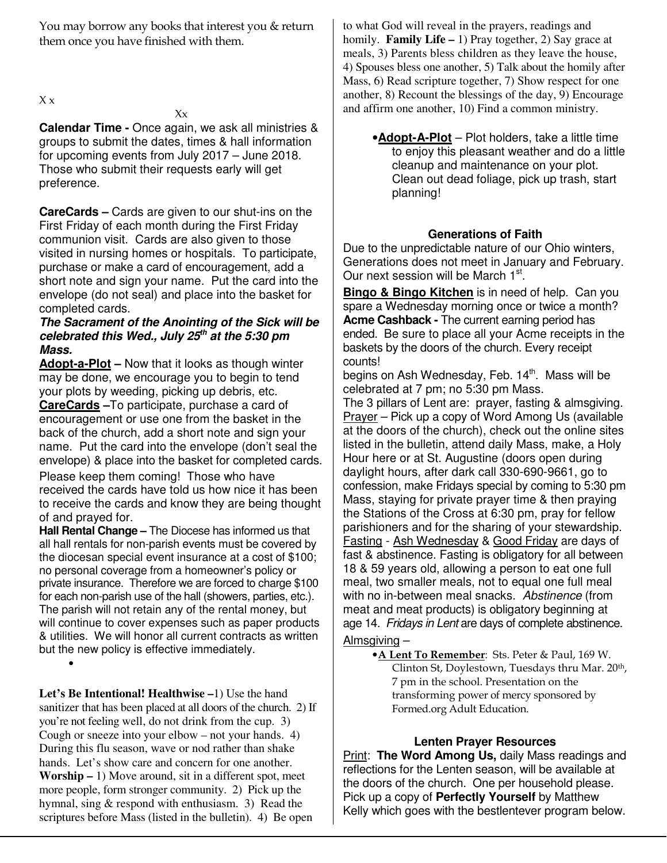You may borrow any books that interest you & return them once you have finished with them.

 $X \times$ 

**Calendar Time -** Once again, we ask all ministries & groups to submit the dates, times & hall information for upcoming events from July 2017 – June 2018. Those who submit their requests early will get preference.

**CareCards –** Cards are given to our shut-ins on the First Friday of each month during the First Friday communion visit. Cards are also given to those visited in nursing homes or hospitals. To participate, purchase or make a card of encouragement, add a short note and sign your name. Put the card into the envelope (do not seal) and place into the basket for completed cards.

#### **The Sacrament of the Anointing of the Sick will be celebrated this Wed., July 25th at the 5:30 pm Mass.**

**Adopt-a-Plot –** Now that it looks as though winter may be done, we encourage you to begin to tend your plots by weeding, picking up debris, etc. **CareCards –**To participate, purchase a card of encouragement or use one from the basket in the back of the church, add a short note and sign your name. Put the card into the envelope (don't seal the envelope) & place into the basket for completed cards.

Please keep them coming! Those who have received the cards have told us how nice it has been to receive the cards and know they are being thought of and prayed for.

**Hall Rental Change –** The Diocese has informed us that all hall rentals for non-parish events must be covered by the diocesan special event insurance at a cost of \$100; no personal coverage from a homeowner's policy or private insurance. Therefore we are forced to charge \$100 for each non-parish use of the hall (showers, parties, etc.). The parish will not retain any of the rental money, but will continue to cover expenses such as paper products & utilities. We will honor all current contracts as written but the new policy is effective immediately.

•

**Let's Be Intentional! Healthwise –**1) Use the hand sanitizer that has been placed at all doors of the church. 2) If you're not feeling well, do not drink from the cup. 3) Cough or sneeze into your elbow – not your hands. 4) During this flu season, wave or nod rather than shake hands. Let's show care and concern for one another. **Worship –** 1) Move around, sit in a different spot, meet more people, form stronger community. 2) Pick up the hymnal, sing & respond with enthusiasm. 3) Read the scriptures before Mass (listed in the bulletin). 4) Be open

to what God will reveal in the prayers, readings and homily. **Family Life –** 1) Pray together, 2) Say grace at meals, 3) Parents bless children as they leave the house, 4) Spouses bless one another, 5) Talk about the homily after Mass, 6) Read scripture together, 7) Show respect for one another, 8) Recount the blessings of the day, 9) Encourage and affirm one another, 10) Find a common ministry.

•**Adopt-A-Plot** – Plot holders, take a little time to enjoy this pleasant weather and do a little cleanup and maintenance on your plot. Clean out dead foliage, pick up trash, start planning!

## **Generations of Faith**

Due to the unpredictable nature of our Ohio winters, Generations does not meet in January and February. Our next session will be March 1<sup>st</sup>.

**Bingo & Bingo Kitchen** is in need of help. Can you spare a Wednesday morning once or twice a month? **Acme Cashback -** The current earning period has ended. Be sure to place all your Acme receipts in the baskets by the doors of the church. Every receipt counts!

begins on Ash Wednesday, Feb. 14<sup>th</sup>. Mass will be celebrated at 7 pm; no 5:30 pm Mass.

The 3 pillars of Lent are: prayer, fasting & almsgiving. Prayer – Pick up a copy of Word Among Us (available at the doors of the church), check out the online sites listed in the bulletin, attend daily Mass, make, a Holy Hour here or at St. Augustine (doors open during daylight hours, after dark call 330-690-9661, go to confession, make Fridays special by coming to 5:30 pm Mass, staying for private prayer time & then praying the Stations of the Cross at 6:30 pm, pray for fellow parishioners and for the sharing of your stewardship. Fasting - Ash Wednesday & Good Friday are days of fast & abstinence. Fasting is obligatory for all between 18 & 59 years old, allowing a person to eat one full meal, two smaller meals, not to equal one full meal with no in-between meal snacks. Abstinence (from meat and meat products) is obligatory beginning at age 14. Fridays in Lent are days of complete abstinence.

### Almsgiving –

•A Lent To Remember: Sts. Peter & Paul, 169 W. Clinton St, Doylestown, Tuesdays thru Mar. 20<sup>th</sup>, 7 pm in the school. Presentation on the transforming power of mercy sponsored by Formed.org Adult Education.

## **Lenten Prayer Resources**

Print: **The Word Among Us,** daily Mass readings and reflections for the Lenten season, will be available at the doors of the church. One per household please. Pick up a copy of **Perfectly Yourself** by Matthew Kelly which goes with the bestlentever program below.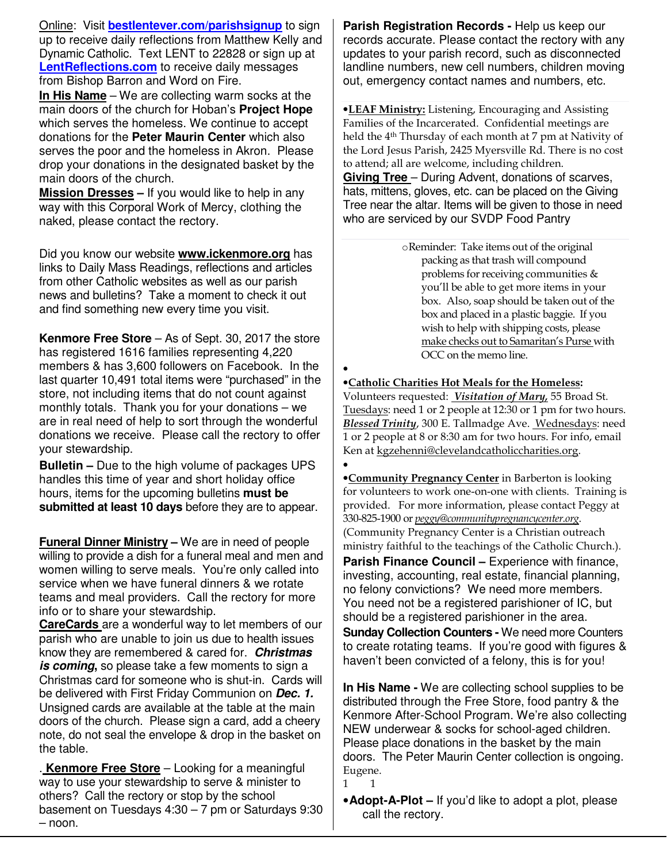Online: Visit **bestlentever.com/parishsignup** to sign up to receive daily reflections from Matthew Kelly and Dynamic Catholic. Text LENT to 22828 or sign up at **LentReflections.com** to receive daily messages from Bishop Barron and Word on Fire.

**In His Name** – We are collecting warm socks at the main doors of the church for Hoban's **Project Hope**  which serves the homeless. We continue to accept donations for the **Peter Maurin Center** which also serves the poor and the homeless in Akron. Please drop your donations in the designated basket by the main doors of the church.

**Mission Dresses –** If you would like to help in any way with this Corporal Work of Mercy, clothing the naked, please contact the rectory.

Did you know our website **www.ickenmore.org** has links to Daily Mass Readings, reflections and articles from other Catholic websites as well as our parish news and bulletins? Take a moment to check it out and find something new every time you visit.

**Kenmore Free Store** – As of Sept. 30, 2017 the store has registered 1616 families representing 4,220 members & has 3,600 followers on Facebook. In the last quarter 10,491 total items were "purchased" in the store, not including items that do not count against monthly totals. Thank you for your donations – we are in real need of help to sort through the wonderful donations we receive. Please call the rectory to offer your stewardship.

**Bulletin –** Due to the high volume of packages UPS handles this time of year and short holiday office hours, items for the upcoming bulletins **must be submitted at least 10 days** before they are to appear.

**Funeral Dinner Ministry –** We are in need of people willing to provide a dish for a funeral meal and men and women willing to serve meals. You're only called into service when we have funeral dinners & we rotate teams and meal providers. Call the rectory for more info or to share your stewardship.

**CareCards** are a wonderful way to let members of our parish who are unable to join us due to health issues know they are remembered & cared for. **Christmas is coming,** so please take a few moments to sign a Christmas card for someone who is shut-in. Cards will be delivered with First Friday Communion on **Dec. 1.** Unsigned cards are available at the table at the main doors of the church. Please sign a card, add a cheery note, do not seal the envelope & drop in the basket on the table.

. **Kenmore Free Store** – Looking for a meaningful way to use your stewardship to serve & minister to others? Call the rectory or stop by the school basement on Tuesdays 4:30 – 7 pm or Saturdays 9:30 – noon.

**Parish Registration Records -** Help us keep our records accurate. Please contact the rectory with any updates to your parish record, such as disconnected landline numbers, new cell numbers, children moving out, emergency contact names and numbers, etc.

•LEAF Ministry: Listening, Encouraging and Assisting Families of the Incarcerated. Confidential meetings are held the 4th Thursday of each month at 7 pm at Nativity of the Lord Jesus Parish, 2425 Myersville Rd. There is no cost to attend; all are welcome, including children. **Giving Tree** – During Advent, donations of scarves, hats, mittens, gloves, etc. can be placed on the Giving Tree near the altar. Items will be given to those in need who are serviced by our SVDP Food Pantry

> oReminder: Take items out of the original packing as that trash will compound problems for receiving communities & you'll be able to get more items in your box. Also, soap should be taken out of the box and placed in a plastic baggie. If you wish to help with shipping costs, please make checks out to Samaritan's Purse with OCC on the memo line.

•

#### •Catholic Charities Hot Meals for the Homeless:

Volunteers requested: Visitation of Mary, 55 Broad St. Tuesdays: need 1 or 2 people at 12:30 or 1 pm for two hours. Blessed Trinity, 300 E. Tallmadge Ave. Wednesdays: need 1 or 2 people at 8 or 8:30 am for two hours. For info, email Ken at kgzehenni@clevelandcatholiccharities.org. •

•Community Pregnancy Center in Barberton is looking for volunteers to work one-on-one with clients. Training is provided. For more information, please contact Peggy at 330-825-1900 or peggy@communitypregnancycenter.org. (Community Pregnancy Center is a Christian outreach ministry faithful to the teachings of the Catholic Church.).

**Parish Finance Council –** Experience with finance, investing, accounting, real estate, financial planning, no felony convictions? We need more members. You need not be a registered parishioner of IC, but should be a registered parishioner in the area.

**Sunday Collection Counters -** We need more Counters to create rotating teams. If you're good with figures & haven't been convicted of a felony, this is for you!

**In His Name -** We are collecting school supplies to be distributed through the Free Store, food pantry & the Kenmore After-School Program. We're also collecting NEW underwear & socks for school-aged children. Please place donations in the basket by the main doors. The Peter Maurin Center collection is ongoing. Eugene.

1 1

•**Adopt-A-Plot –** If you'd like to adopt a plot, please call the rectory.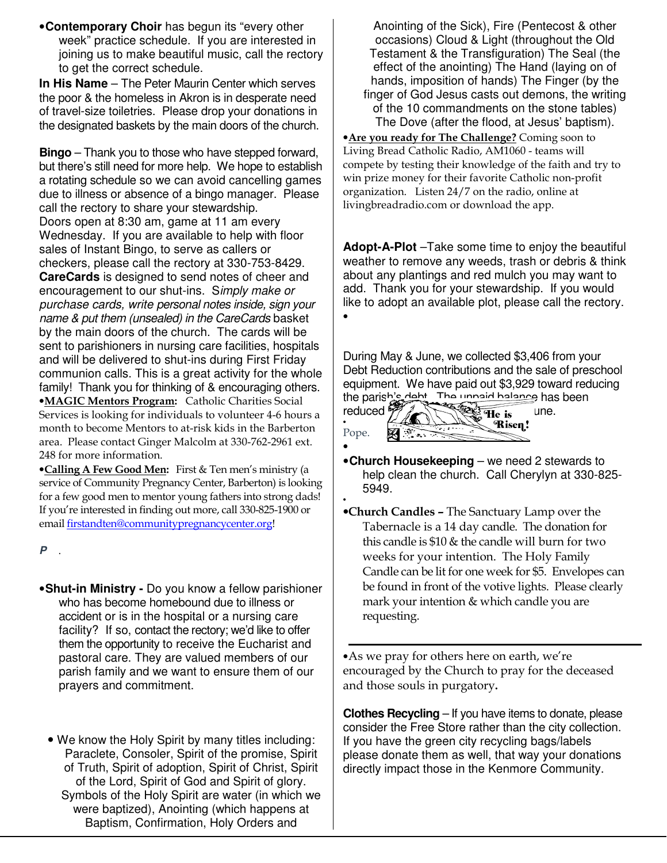•**Contemporary Choir** has begun its "every other week" practice schedule. If you are interested in joining us to make beautiful music, call the rectory to get the correct schedule.

**In His Name** – The Peter Maurin Center which serves the poor & the homeless in Akron is in desperate need of travel-size toiletries. Please drop your donations in the designated baskets by the main doors of the church.

**Bingo** – Thank you to those who have stepped forward, but there's still need for more help. We hope to establish a rotating schedule so we can avoid cancelling games due to illness or absence of a bingo manager. Please call the rectory to share your stewardship. Doors open at 8:30 am, game at 11 am every Wednesday. If you are available to help with floor sales of Instant Bingo, to serve as callers or checkers, please call the rectory at 330-753-8429. **CareCards** is designed to send notes of cheer and encouragement to our shut-ins. Simply make or purchase cards, write personal notes inside, sign your name & put them (unsealed) in the CareCards basket by the main doors of the church. The cards will be sent to parishioners in nursing care facilities, hospitals and will be delivered to shut-ins during First Friday communion calls. This is a great activity for the whole family! Thank you for thinking of & encouraging others. •MAGIC Mentors Program: Catholic Charities Social Services is looking for individuals to volunteer 4-6 hours a month to become Mentors to at-risk kids in the Barberton area. Please contact Ginger Malcolm at 330-762-2961 ext. 248 for more information.

•Calling A Few Good Men: First & Ten men's ministry (a service of Community Pregnancy Center, Barberton) is looking for a few good men to mentor young fathers into strong dads! If you're interested in finding out more, call 330-825-1900 or email firstandten@communitypregnancycenter.org!

**P** .

- •**Shut-in Ministry** Do you know a fellow parishioner who has become homebound due to illness or accident or is in the hospital or a nursing care facility? If so, contact the rectory; we'd like to offer them the opportunity to receive the Eucharist and pastoral care. They are valued members of our parish family and we want to ensure them of our prayers and commitment.
	- We know the Holy Spirit by many titles including: Paraclete, Consoler, Spirit of the promise, Spirit of Truth, Spirit of adoption, Spirit of Christ, Spirit of the Lord, Spirit of God and Spirit of glory. Symbols of the Holy Spirit are water (in which we were baptized), Anointing (which happens at Baptism, Confirmation, Holy Orders and

Anointing of the Sick), Fire (Pentecost & other occasions) Cloud & Light (throughout the Old Testament & the Transfiguration) The Seal (the effect of the anointing) The Hand (laying on of hands, imposition of hands) The Finger (by the finger of God Jesus casts out demons, the writing of the 10 commandments on the stone tables) The Dove (after the flood, at Jesus' baptism).

•Are you ready for The Challenge? Coming soon to Living Bread Catholic Radio, AM1060 - teams will compete by testing their knowledge of the faith and try to win prize money for their favorite Catholic non-profit organization. Listen 24/7 on the radio, online at livingbreadradio.com or download the app.

**Adopt-A-Plot** –Take some time to enjoy the beautiful weather to remove any weeds, trash or debris & think about any plantings and red mulch you may want to add. Thank you for your stewardship. If you would like to adopt an available plot, please call the rectory. •

During May & June, we collected \$3,406 from your Debt Reduction contributions and the sale of preschool equipment. We have paid out \$3,929 toward reducing the parish's debt. The unpaid balance has been

| reduc |  |
|-------|--|
|       |  |
| Pope. |  |

•

•

reduced  $\frac{37}{2}$  and  $\frac{323}{10}$  is une. Risen!

- •**Church Housekeeping**  we need 2 stewards to help clean the church. Call Cherylyn at 330-825- 5949.
- •Church Candles The Sanctuary Lamp over the Tabernacle is a 14 day candle. The donation for this candle is  $$10 \&$  the candle will burn for two weeks for your intention. The Holy Family Candle can be lit for one week for \$5. Envelopes can be found in front of the votive lights. Please clearly mark your intention & which candle you are requesting.

•As we pray for others here on earth, we're encouraged by the Church to pray for the deceased and those souls in purgatory.

**Clothes Recycling** – If you have items to donate, please consider the Free Store rather than the city collection. If you have the green city recycling bags/labels please donate them as well, that way your donations directly impact those in the Kenmore Community.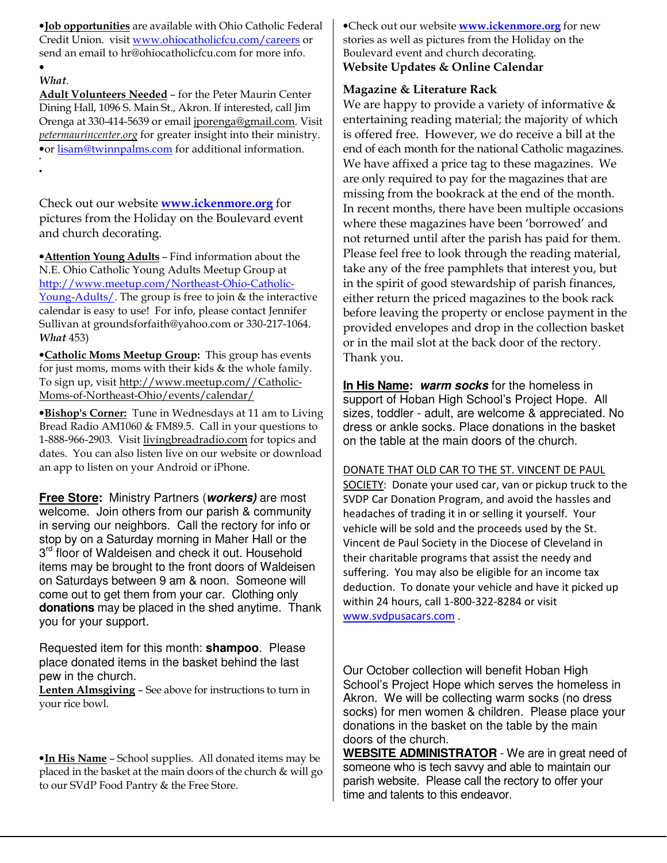•Job opportunities are available with Ohio Catholic Federal Credit Union. visit www.ohiocatholicfcu.com/careers or send an email to hr@ohiocatholicfcu.com for more info. •

#### What.

•

Adult Volunteers Needed – for the Peter Maurin Center Dining Hall, 1096 S. Main St., Akron. If interested, call Jim Orenga at 330-414-5639 or email jporenga@gmail.com. Visit petermaurincenter.org for greater insight into their ministry. •or lisam@twinnpalms.com for additional information. •

Check out our website www.ickenmore.org for pictures from the Holiday on the Boulevard event and church decorating.

•Attention Young Adults – Find information about the N.E. Ohio Catholic Young Adults Meetup Group at http://www.meetup.com/Northeast-Ohio-Catholic-Young-Adults/. The group is free to join & the interactive calendar is easy to use! For info, please contact Jennifer Sullivan at groundsforfaith@yahoo.com or 330-217-1064. What 453)

•Catholic Moms Meetup Group: This group has events for just moms, moms with their kids & the whole family. To sign up, visit http://www.meetup.com//Catholic-Moms-of-Northeast-Ohio/events/calendar/

**•Bishop's Corner:** Tune in Wednesdays at 11 am to Living Bread Radio AM1060 & FM89.5. Call in your questions to 1-888-966-2903. Visit livingbreadradio.com for topics and dates. You can also listen live on our website or download an app to listen on your Android or iPhone.

**Free Store:** Ministry Partners (**workers)** are most welcome. Join others from our parish & community in serving our neighbors. Call the rectory for info or stop by on a Saturday morning in Maher Hall or the 3<sup>rd</sup> floor of Waldeisen and check it out. Household items may be brought to the front doors of Waldeisen on Saturdays between 9 am & noon. Someone will come out to get them from your car. Clothing only **donations** may be placed in the shed anytime. Thank you for your support.

Requested item for this month: **shampoo**. Please place donated items in the basket behind the last pew in the church.

Lenten Almsgiving – See above for instructions to turn in your rice bowl.

•In His Name – School supplies. All donated items may be placed in the basket at the main doors of the church & will go to our SVdP Food Pantry & the Free Store.

•Check out our website **www.ickenmore.org** for new stories as well as pictures from the Holiday on the Boulevard event and church decorating. Website Updates & Online Calendar

#### Magazine & Literature Rack

We are happy to provide a variety of informative & entertaining reading material; the majority of which is offered free. However, we do receive a bill at the end of each month for the national Catholic magazines. We have affixed a price tag to these magazines. We are only required to pay for the magazines that are missing from the bookrack at the end of the month. In recent months, there have been multiple occasions where these magazines have been 'borrowed' and not returned until after the parish has paid for them. Please feel free to look through the reading material, take any of the free pamphlets that interest you, but in the spirit of good stewardship of parish finances, either return the priced magazines to the book rack before leaving the property or enclose payment in the provided envelopes and drop in the collection basket or in the mail slot at the back door of the rectory. Thank you.

**In His Name: warm socks** for the homeless in support of Hoban High School's Project Hope. All sizes, toddler - adult, are welcome & appreciated. No dress or ankle socks. Place donations in the basket on the table at the main doors of the church.

DONATE THAT OLD CAR TO THE ST. VINCENT DE PAUL SOCIETY: Donate your used car, van or pickup truck to the SVDP Car Donation Program, and avoid the hassles and headaches of trading it in or selling it yourself. Your vehicle will be sold and the proceeds used by the St. Vincent de Paul Society in the Diocese of Cleveland in their charitable programs that assist the needy and suffering. You may also be eligible for an income tax deduction. To donate your vehicle and have it picked up within 24 hours, call 1-800-322-8284 or visit www.svdpusacars.com .

Our October collection will benefit Hoban High School's Project Hope which serves the homeless in Akron. We will be collecting warm socks (no dress socks) for men women & children. Please place your donations in the basket on the table by the main doors of the church.

**WEBSITE ADMINISTRATOR** - We are in great need of someone who is tech savvy and able to maintain our parish website. Please call the rectory to offer your time and talents to this endeavor.